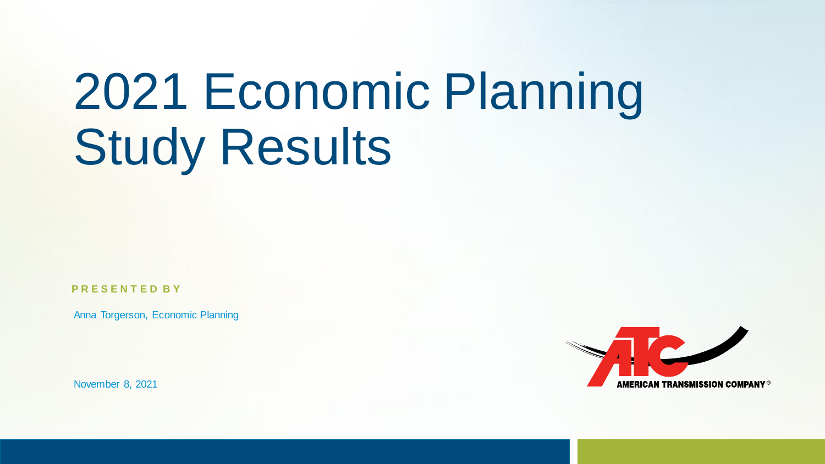# 2021 Economic Planning Study Results

**P R E S E N T E D B Y**

Anna Torgerson, Economic Planning

November 8, 2021

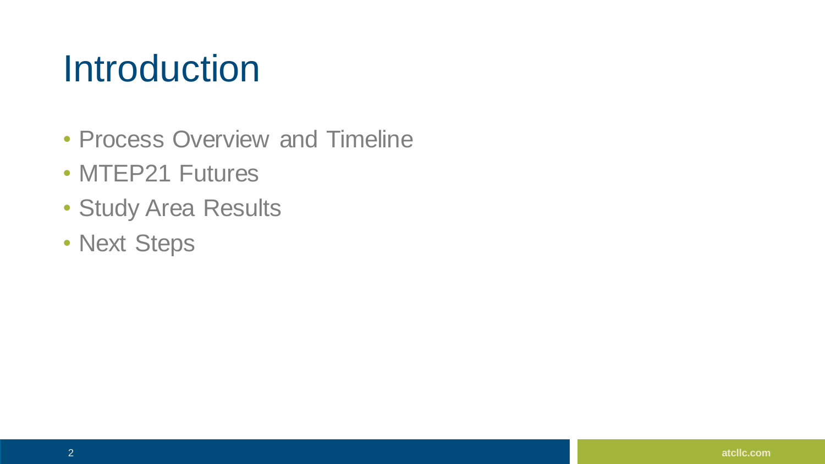#### **Introduction**

- Process Overview and Timeline
- MTEP21 Futures
- Study Area Results
- Next Steps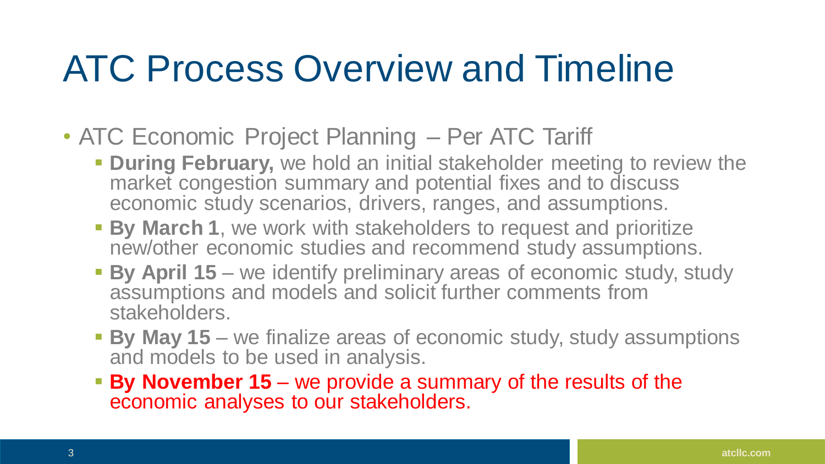### ATC Process Overview and Timeline

- ATC Economic Project Planning Per ATC Tariff
	- **During February,** we hold an initial stakeholder meeting to review the market congestion summary and potential fixes and to discuss economic study scenarios, drivers, ranges, and assumptions.
	- **By March 1**, we work with stakeholders to request and prioritize new/other economic studies and recommend study assumptions.
	- **By April 15** we identify preliminary areas of economic study, study assumptions and models and solicit further comments from stakeholders.
	- **By May 15** we finalize areas of economic study, study assumptions and models to be used in analysis.
	- **By November 15** we provide a summary of the results of the economic analyses to our stakeholders.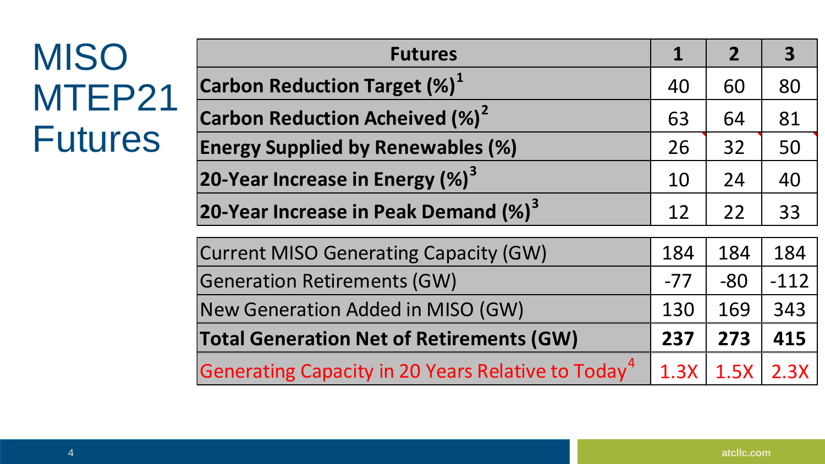### **MISO** MTEP<sub>21</sub> Futures

| <b>Futures</b>                                                 |       | $\boldsymbol{\mathcal{P}}$ | 3      |
|----------------------------------------------------------------|-------|----------------------------|--------|
| <b>Carbon Reduction Target (%)</b> <sup>1</sup>                | 40    | 60                         | 80     |
| <b>Carbon Reduction Acheived (%)<sup>2</sup></b>               | 63    | 64                         | 81     |
| <b>Energy Supplied by Renewables (%)</b>                       | 26    | 32                         | 50     |
| 20-Year Increase in Energy $(\%)^3$                            | 10    | 24                         | 40     |
| 20-Year Increase in Peak Demand (%) <sup>3</sup>               | 12    | 22                         | 33     |
| <b>Current MISO Generating Capacity (GW)</b>                   | 184   | 184                        | 184    |
| <b>Generation Retirements (GW)</b>                             | $-77$ | $-80$                      | $-112$ |
| New Generation Added in MISO (GW)                              | 130   | 169                        | 343    |
| <b>Total Generation Net of Retirements (GW)</b>                |       | 273                        | 415    |
| Generating Capacity in 20 Years Relative to Today <sup>4</sup> | 1.3X  | 1.5X                       | 2.3X   |

 **Annual net** energy and peak demand increases by 0.47, 1.08, 1.69% and 0.57, 0.98 and 1.43%, respectively, for each Future.

carbon neutral by 2050) that are not legislated. This reduces carbon emissions more than setting a 40% carbon reduction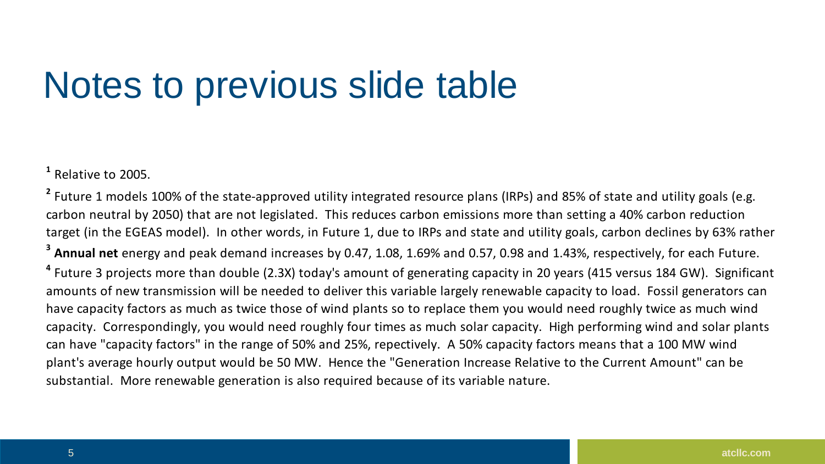#### Notes to previous slide table New Generation Added in Misley 130 169 343 169 343 169 343 169 343 169 343 169 343 169 343 169 343 169 343 169 343 169 343 169 343 169 343 169 343 169 343 169 343 169 343 169 343 169 343 169 343 169 343 169 343 169 343 169 **Total Generation Net of Retirements (GW) 237 273 415**

**1** Relative to 2005.

**4** Future 3 projects more than double (2.3X) today's amount of generating capacity in 20 years (415 versus 184 GW). Significant amounts of new transmission will be needed to deliver this variable largely renewable capacity to load. Fossil generators can have capacity factors as much as twice those of wind plants so to replace them you would need roughly twice as much wind capacity. Correspondingly, you would need roughly four times as much solar capacity. High performing wind and solar plants can have "capacity factors" in the range of 50% and 25%, repectively. A 50% capacity factors means that a 100 MW wind plant's average hourly output would be 50 MW. Hence the "Generation Increase Relative to the Current Amount" can be substantial. More renewable generation is also required because of its variable nature. **3 Annual net** energy and peak demand increases by 0.47, 1.08, 1.69% and 0.57, 0.98 and 1.43%, respectively, for each Future. <sup>2</sup> Future 1 models 100% of the state-approved utility integrated resource plans (IRPs) and 85% of state and utility goals (e.g. carbon neutral by 2050) that are not legislated. This reduces carbon emissions more than setting a 40% carbon reduction target (in the EGEAS model). In other words, in Future 1, due to IRPs and state and utility goals, carbon declines by 63% rather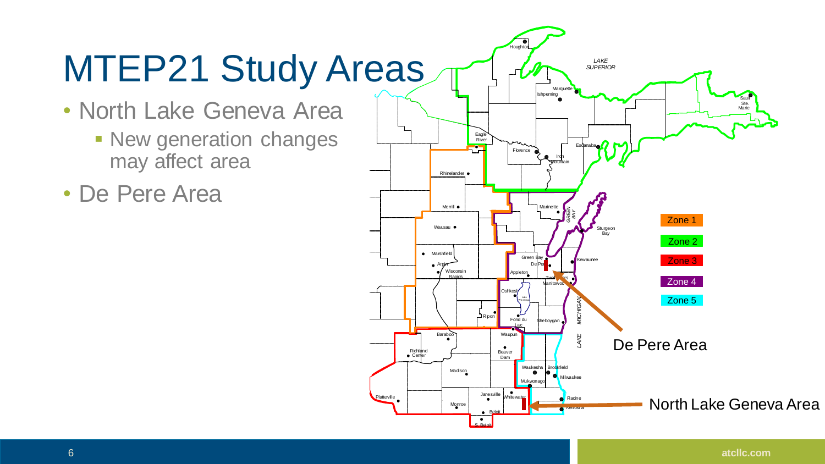## MTEP21 Study Areas

- North Lake Geneva Area
	- **Example 1 New generation changes** may affect area
- De Pere Area

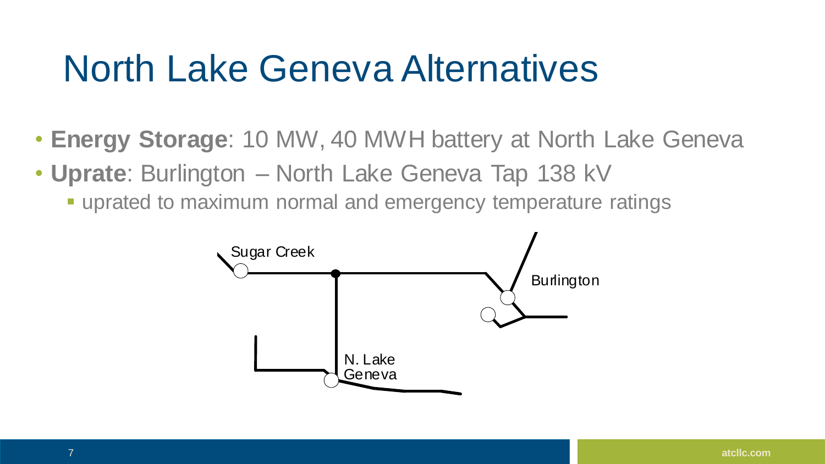#### North Lake Geneva Alternatives

- **Energy Storage**: 10 MW, 40 MWH battery at North Lake Geneva
- **Uprate**: Burlington North Lake Geneva Tap 138 kV
	- **E** uprated to maximum normal and emergency temperature ratings

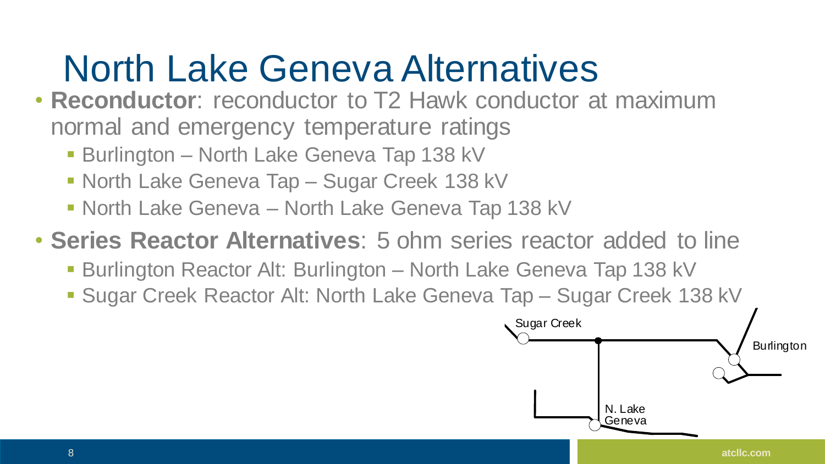### North Lake Geneva Alternatives

- **Reconductor**: reconductor to T2 Hawk conductor at maximum normal and emergency temperature ratings
	- **E** Burlington North Lake Geneva Tap 138 kV
	- North Lake Geneva Tap Sugar Creek 138 kV
	- North Lake Geneva North Lake Geneva Tap 138 kV

#### • **Series Reactor Alternatives**: 5 ohm series reactor added to line

- **Burlington Reactor Alt: Burlington North Lake Geneva Tap 138 kV**
- Sugar Creek Reactor Alt: North Lake Geneva Tap Sugar Creek 138 kV

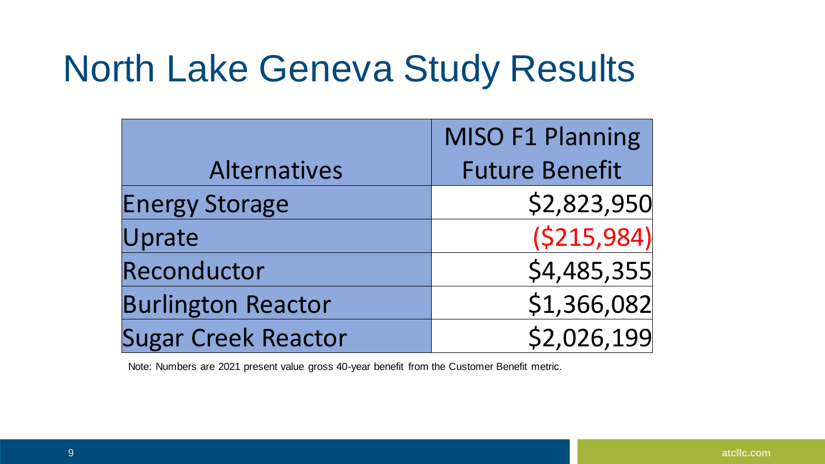#### North Lake Geneva Study Results

|                            | MISO F1 Planning      |
|----------------------------|-----------------------|
| <b>Alternatives</b>        | <b>Future Benefit</b> |
| <b>Energy Storage</b>      | \$2,823,950           |
| Uprate                     | (S215,984)            |
| Reconductor                | \$4,485,355           |
| <b>Burlington Reactor</b>  | \$1,366,082           |
| <b>Sugar Creek Reactor</b> | \$2,026,199           |

Note: Numbers are 2021 present value gross 40-year benefit from the Customer Benefit metric.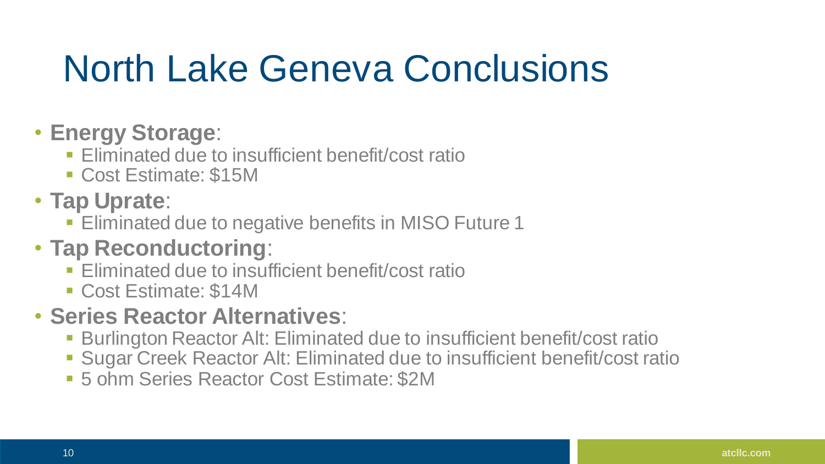### North Lake Geneva Conclusions

- **Energy Storage**:
	- **Eliminated due to insufficient benefit/cost ratio**
	- Cost Estimate: \$15M
- **Tap Uprate**:
	- **Eliminated due to negative benefits in MISO Future 1**

#### • **Tap Reconductoring**:

- **Eliminated due to insufficient benefit/cost ratio**
- Cost Estimate: \$14M

#### • **Series Reactor Alternatives**:

- **EXET Burlington Reactor Alt: Eliminated due to insufficient benefit/cost ratio**
- **Sugar Creek Reactor Alt: Eliminated due to insufficient benefit/cost ratio**
- 5 ohm Series Reactor Cost Estimate: \$2M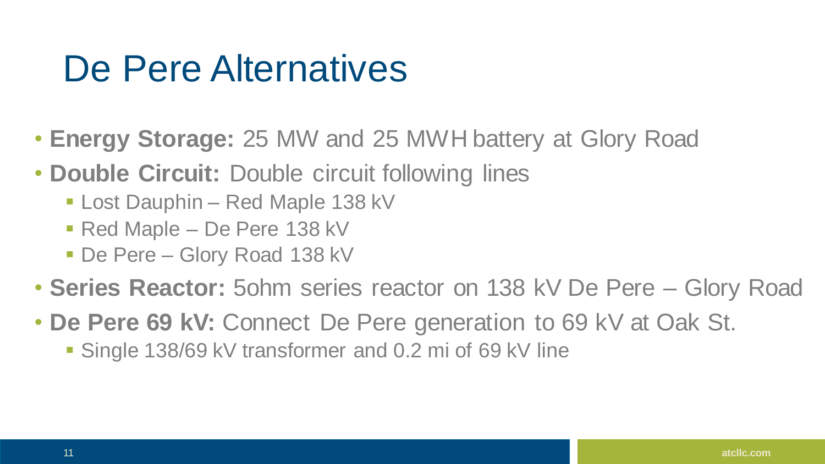#### De Pere Alternatives

- **Energy Storage:** 25 MW and 25 MWH battery at Glory Road
- **Double Circuit:** Double circuit following lines
	- **Lost Dauphin Red Maple 138 kV**
	- Red Maple De Pere 138 kV
	- De Pere Glory Road 138 kV
- **Series Reactor:** 5ohm series reactor on 138 kV De Pere Glory Road
- **De Pere 69 kV:** Connect De Pere generation to 69 kV at Oak St.
	- Single 138/69 kV transformer and 0.2 mi of 69 kV line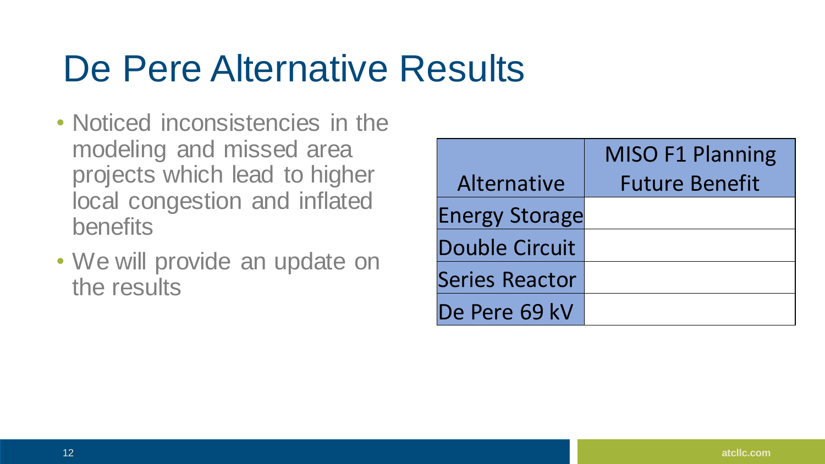#### De Pere Alternative Results

- Noticed inconsistencies in the modeling and missed area projects which lead to higher local congestion and inflated benefits
- We will provide an update on the results

|                       | <b>MISO F1 Planning</b> |
|-----------------------|-------------------------|
| Alternative           | <b>Future Benefit</b>   |
| <b>Energy Storage</b> |                         |
| Double Circuit        |                         |
| Series Reactor        |                         |
| De Pere 69 kV         |                         |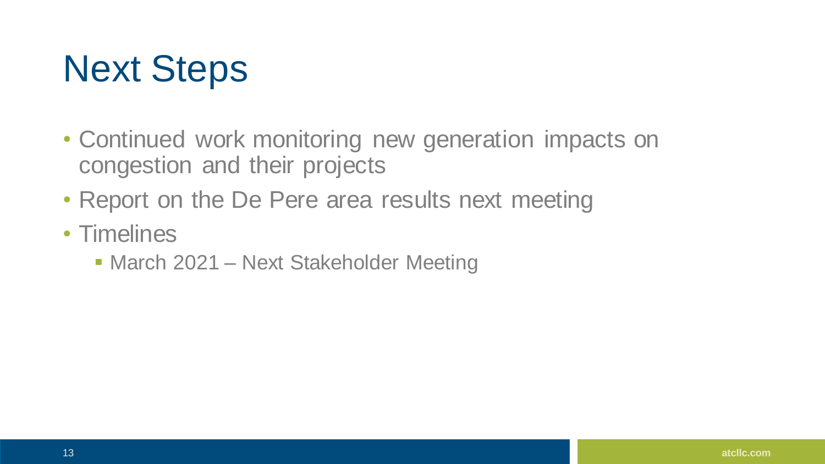### Next Steps

- Continued work monitoring new generation impacts on congestion and their projects
- Report on the De Pere area results next meeting
- Timelines
	- March 2021 Next Stakeholder Meeting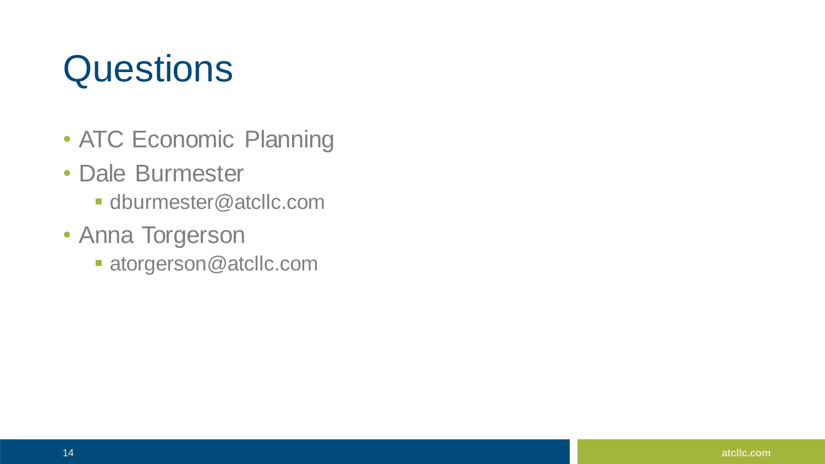#### **Questions**

- ATC Economic Planning
- Dale Burmester
	- **dburmester@atcllc.com**
- Anna Torgerson
	- atorgerson@atcllc.com